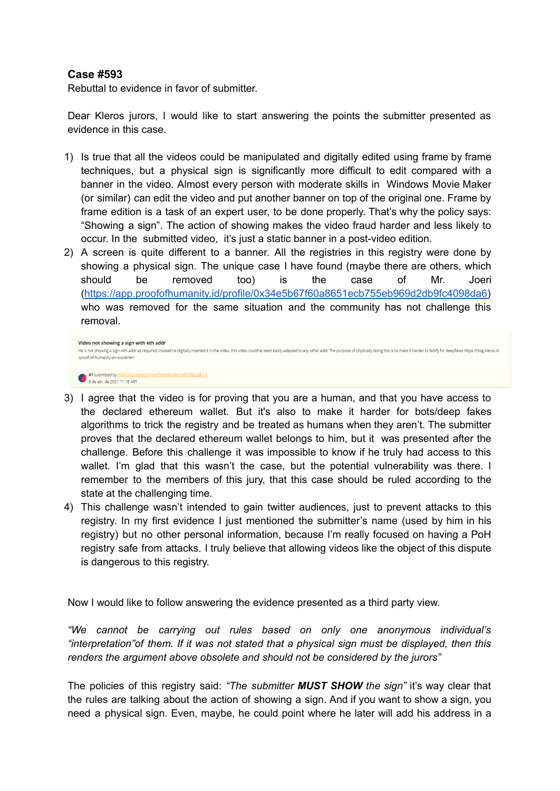## **Case #593**

Rebuttal to evidence in favor of submitter.

Dear Kleros jurors, I would like to start answering the points the submitter presented as evidence in this case.

- 1) Is true that all the videos could be manipulated and digitally edited using frame by frame techniques, but a physical sign is significantly more difficult to edit compared with a banner in the video. Almost every person with moderate skills in Windows Movie Maker (or similar) can edit the video and put another banner on top of the original one. Frame by frame edition is a task of an expert user, to be done properly. That's why the policy says: "Showing a sign". The action of showing makes the video fraud harder and less likely to occur. In the submitted video, it's just a static banner in a post-video edition.
- 2) A screen is quite different to a banner. All the registries in this registry were done by showing a physical sign. The unique case I have found (maybe there are others, which should be removed too) is the case of Mr. Joeri ([https://app.proofofhumanity.id/profile/0x34e5b67f60a8651ecb755eb969d2db9fc4098da6\)](https://app.proofofhumanity.id/profile/0x34e5b67f60a8651ecb755eb969d2db9fc4098da6) who was removed for the same situation and the community has not challenge this removal.

```
Video not showing a sign with eth add
He is not showing a sign with addr as required, instead he digitally inserted it in the video, this video could've been easily adapted to any other addr The purpose of physically doing this is to make it harder to falsify 
/proof-of-humanity-an-explainer/
#1 submitted by 0x001fe2cdt<br>8 de abr. de 2021 11:18 ART
                                         743679e958c0861dd8788b28b19
```
- 3) I agree that the video is for proving that you are a human, and that you have access to the declared ethereum wallet. But it's also to make it harder for bots/deep fakes algorithms to trick the registry and be treated as humans when they aren't. The submitter proves that the declared ethereum wallet belongs to him, but it was presented after the challenge. Before this challenge it was impossible to know if he truly had access to this wallet. I'm glad that this wasn't the case, but the potential vulnerability was there. I remember to the members of this jury, that this case should be ruled according to the state at the challenging time.
- 4) This challenge wasn't intended to gain twitter audiences, just to prevent attacks to this registry. In my first evidence I just mentioned the submitter's name (used by him in his registry) but no other personal information, because I'm really focused on having a PoH registry safe from attacks. I truly believe that allowing videos like the object of this dispute is dangerous to this registry.

Now I would like to follow answering the evidence presented as a third party view.

*"We cannot be carrying out rules based on only one anonymous individual's "interpretation"of them. If it was not stated that a physical sign must be displayed, then this renders the argument above obsolete and should not be considered by the jurors"*

The policies of this registry said: *"The submitter MUST SHOW the sign"* it's way clear that the rules are talking about the action of showing a sign. And if you want to show a sign, you need a physical sign. Even, maybe, he could point where he later will add his address in a